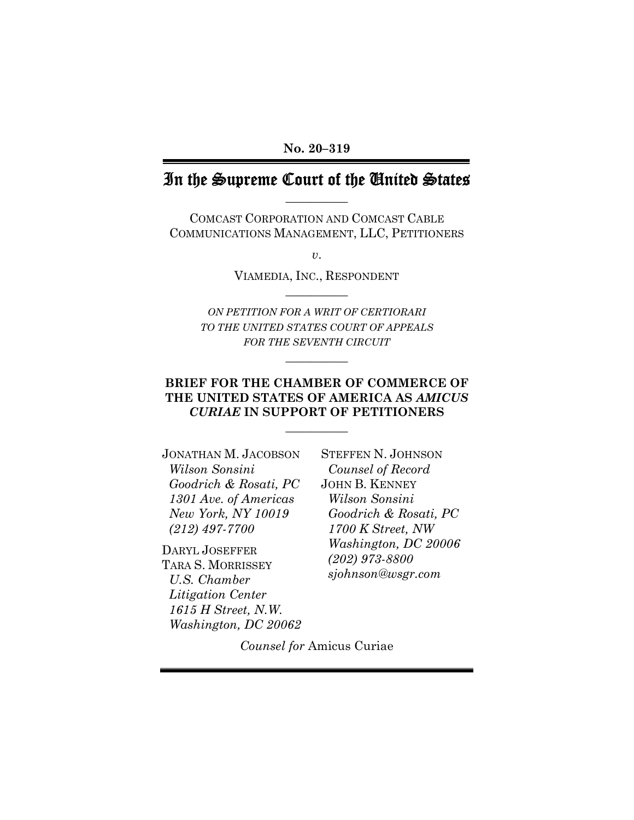### **No. 20–319**

## In the Supreme Court of the United States **\_\_\_\_\_\_\_\_\_\_**

COMCAST CORPORATION AND COMCAST CABLE COMMUNICATIONS MANAGEMENT, LLC, PETITIONERS

*v*.

VIAMEDIA, INC., RESPONDENT **\_\_\_\_\_\_\_\_\_\_**

*ON PETITION FOR A WRIT OF CERTIORARI TO THE UNITED STATES COURT OF APPEALS FOR THE SEVENTH CIRCUIT*

**\_\_\_\_\_\_\_\_\_\_**

### **BRIEF FOR THE CHAMBER OF COMMERCE OF THE UNITED STATES OF AMERICA AS** *AMICUS CURIAE* **IN SUPPORT OF PETITIONERS**

**\_\_\_\_\_\_\_\_\_\_**

JONATHAN M. JACOBSON  *Wilson Sonsini Goodrich & Rosati, PC 1301 Ave. of Americas New York, NY 10019 (212) 497-7700* 

DARYL JOSEFFER TARA S. MORRISSEY  *U.S. Chamber Litigation Center 1615 H Street, N.W. Washington, DC 20062*  STEFFEN N. JOHNSON  *Counsel of Record*  JOHN B. KENNEY  *Wilson Sonsini Goodrich & Rosati, PC 1700 K Street, NW Washington, DC 20006 (202) 973-8800 sjohnson@wsgr.com*

*Counsel for* Amicus Curiae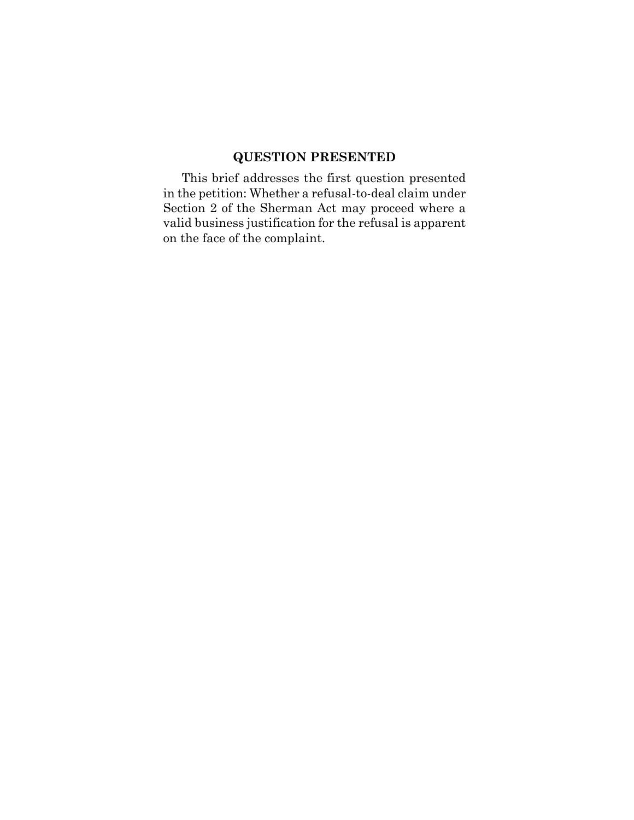## **QUESTION PRESENTED**

<span id="page-1-0"></span>This brief addresses the first question presented in the petition: Whether a refusal-to-deal claim under Section 2 of the Sherman Act may proceed where a valid business justification for the refusal is apparent on the face of the complaint.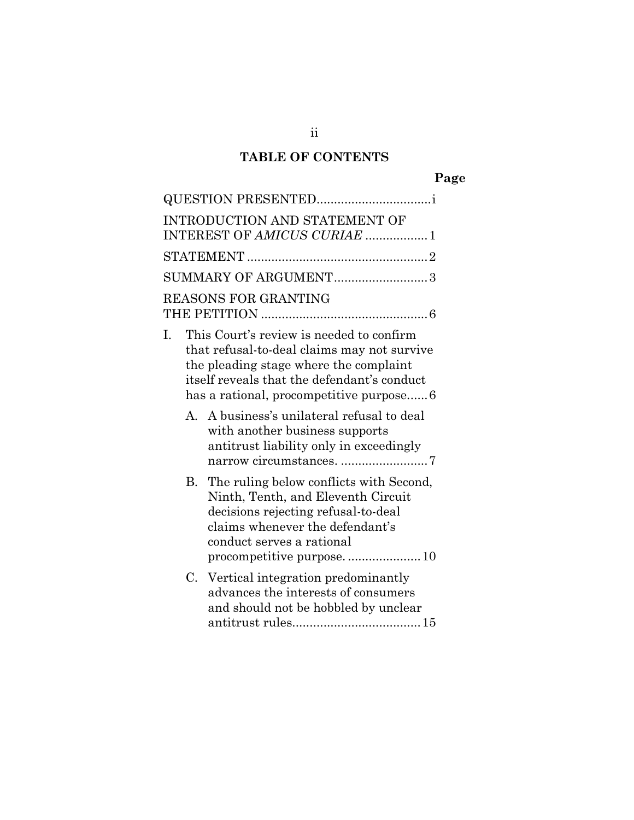# **TABLE OF CONTENTS**

# **Page**

|    |    | INTRODUCTION AND STATEMENT OF<br>INTEREST OF AMICUS CURIAE 1                                                                                                                                                      |
|----|----|-------------------------------------------------------------------------------------------------------------------------------------------------------------------------------------------------------------------|
|    |    |                                                                                                                                                                                                                   |
|    |    | SUMMARY OF ARGUMENT3                                                                                                                                                                                              |
|    |    | <b>REASONS FOR GRANTING</b>                                                                                                                                                                                       |
| I. |    | This Court's review is needed to confirm<br>that refusal-to-deal claims may not survive<br>the pleading stage where the complaint<br>itself reveals that the defendant's conduct                                  |
|    |    | A. A business's unilateral refusal to deal<br>with another business supports<br>antitrust liability only in exceedingly                                                                                           |
|    | B. | The ruling below conflicts with Second,<br>Ninth, Tenth, and Eleventh Circuit<br>decisions rejecting refusal-to-deal<br>claims whenever the defendant's<br>conduct serves a rational<br>procompetitive purpose 10 |
|    |    | C. Vertical integration predominantly<br>advances the interests of consumers<br>and should not be hobbled by unclear                                                                                              |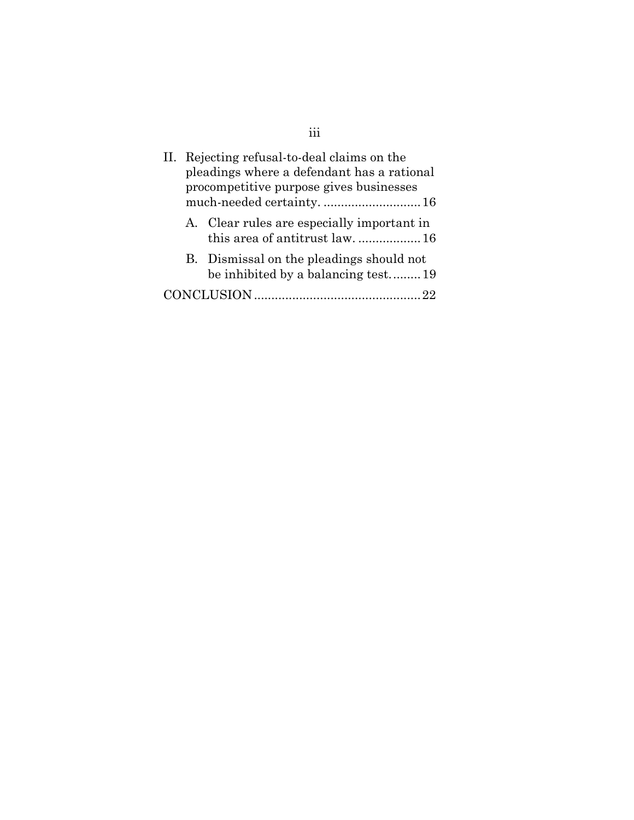| II. Rejecting refusal-to-deal claims on the<br>pleadings where a defendant has a rational<br>procompetitive purpose gives businesses<br>much-needed certainty 16 |                                                                                |
|------------------------------------------------------------------------------------------------------------------------------------------------------------------|--------------------------------------------------------------------------------|
|                                                                                                                                                                  | A. Clear rules are especially important in<br>this area of antitrust law 16    |
|                                                                                                                                                                  | B. Dismissal on the pleadings should not<br>be inhibited by a balancing test19 |
|                                                                                                                                                                  | 22                                                                             |

iii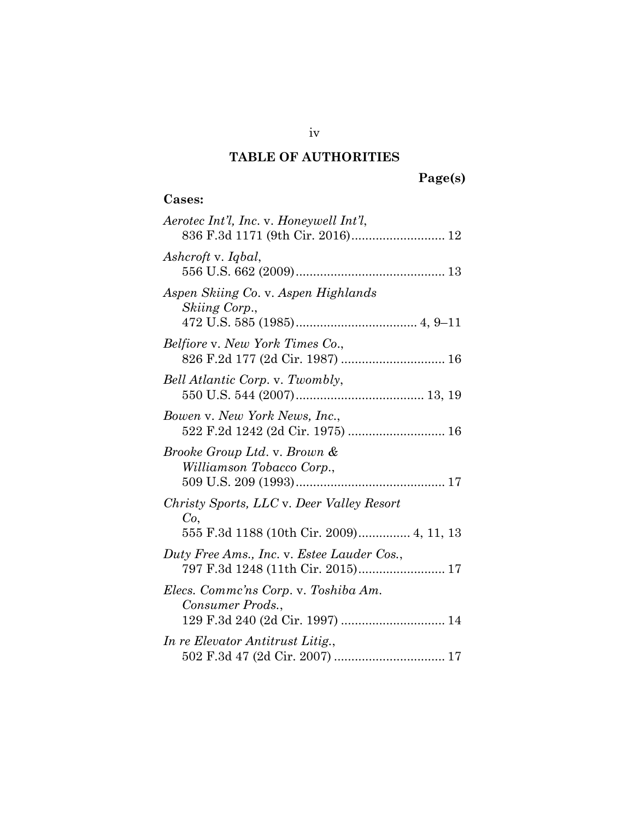## **TABLE OF AUTHORITIES**

# **Page(s)**

## **Cases:**

| Aerotec Int'l, Inc. v. Honeywell Int'l,<br>836 F.3d 1171 (9th Cir. 2016) 12     |
|---------------------------------------------------------------------------------|
| Ashcroft v. Iqbal,                                                              |
| Aspen Skiing Co. v. Aspen Highlands<br>Skiing Corp.,                            |
| Belfiore v. New York Times Co.,<br>826 F.2d 177 (2d Cir. 1987)  16              |
| Bell Atlantic Corp. v. Twombly,                                                 |
| Bowen v. New York News, Inc.,                                                   |
| Brooke Group Ltd. v. Brown &<br>Williamson Tobacco Corp.,                       |
| Christy Sports, LLC v. Deer Valley Resort<br>Co,                                |
| 555 F.3d 1188 (10th Cir. 2009) 4, 11, 13                                        |
| Duty Free Ams., Inc. v. Estee Lauder Cos.,<br>797 F.3d 1248 (11th Cir. 2015) 17 |
| Elecs. Commc'ns Corp. v. Toshiba Am.<br>Consumer Prods.,                        |
| In re Elevator Antitrust Litig.,                                                |

iv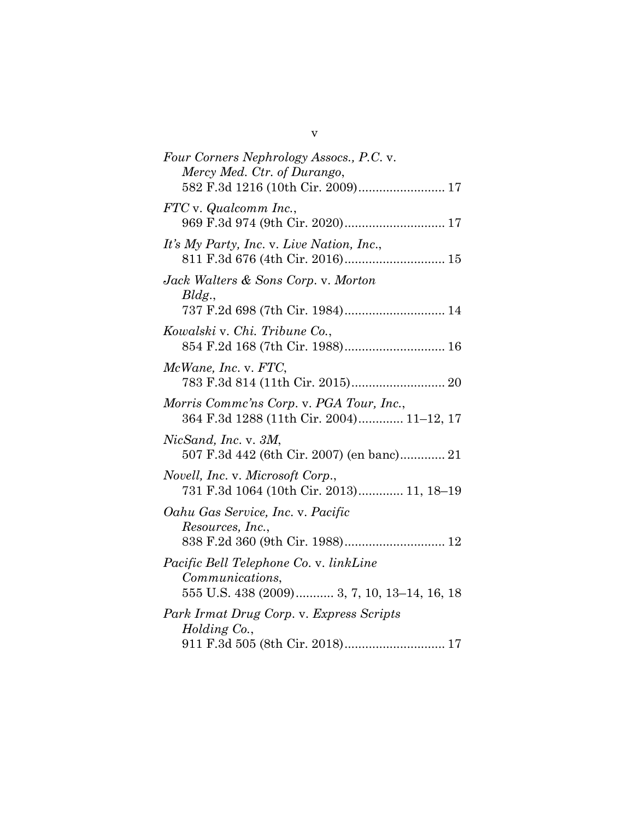| Four Corners Nephrology Assocs., P.C. v.<br>Mercy Med. Ctr. of Durango,                                  |
|----------------------------------------------------------------------------------------------------------|
| 582 F.3d 1216 (10th Cir. 2009) 17                                                                        |
| FTC v. Qualcomm Inc.,                                                                                    |
| It's My Party, Inc. v. Live Nation, Inc.,                                                                |
| Jack Walters & Sons Corp. v. Morton<br>$Bldg_{\cdot}$                                                    |
| 737 F.2d 698 (7th Cir. 1984) 14<br>Kowalski v. Chi. Tribune Co.,                                         |
| 854 F.2d 168 (7th Cir. 1988) 16<br>McWane, Inc. v. FTC,                                                  |
| Morris Comme'ns Corp. v. PGA Tour, Inc.,<br>364 F.3d 1288 (11th Cir. 2004) 11–12, 17                     |
| <i>NicSand, Inc. v. 3M,</i><br>507 F.3d 442 (6th Cir. 2007) (en banc) 21                                 |
| <i>Novell, Inc. v. Microsoft Corp.,</i><br>731 F.3d 1064 (10th Cir. 2013) 11, 18-19                      |
| Oahu Gas Service, Inc. v. Pacific<br>Resources, Inc.,<br>838 F.2d 360 (9th Cir. 1988) 12                 |
| Pacific Bell Telephone Co. v. linkLine<br>Communications,<br>555 U.S. 438 (2009) 3, 7, 10, 13-14, 16, 18 |
| Park Irmat Drug Corp. v. Express Scripts<br>Holding Co.,                                                 |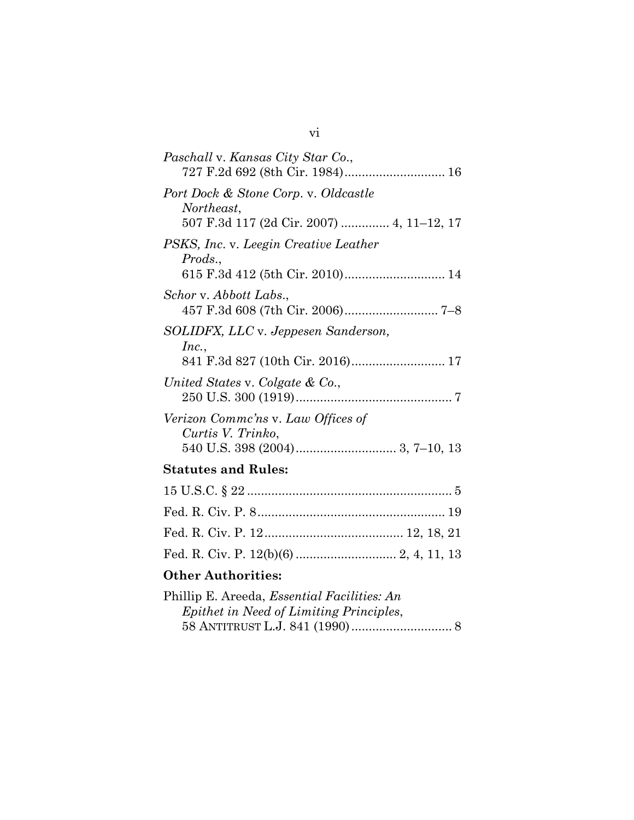| Paschall v. Kansas City Star Co.,                                                               |
|-------------------------------------------------------------------------------------------------|
| Port Dock & Stone Corp. v. Oldcastle<br>Northeast,<br>507 F.3d 117 (2d Cir. 2007)  4, 11–12, 17 |
| PSKS, Inc. v. Leegin Creative Leather<br>Prods.,                                                |
| Schor v. Abbott Labs.,                                                                          |
| SOLIDFX, LLC v. Jeppesen Sanderson,<br>Inc.,                                                    |
| United States v. Colgate & Co.,                                                                 |
| Verizon Commc'ns v. Law Offices of<br>Curtis V. Trinko,                                         |
| <b>Statutes and Rules:</b>                                                                      |
|                                                                                                 |
|                                                                                                 |

## **Other Authorities:**

| Phillip E. Areeda, <i>Essential Facilities: An</i> |  |
|----------------------------------------------------|--|
| Epithet in Need of Limiting Principles,            |  |
|                                                    |  |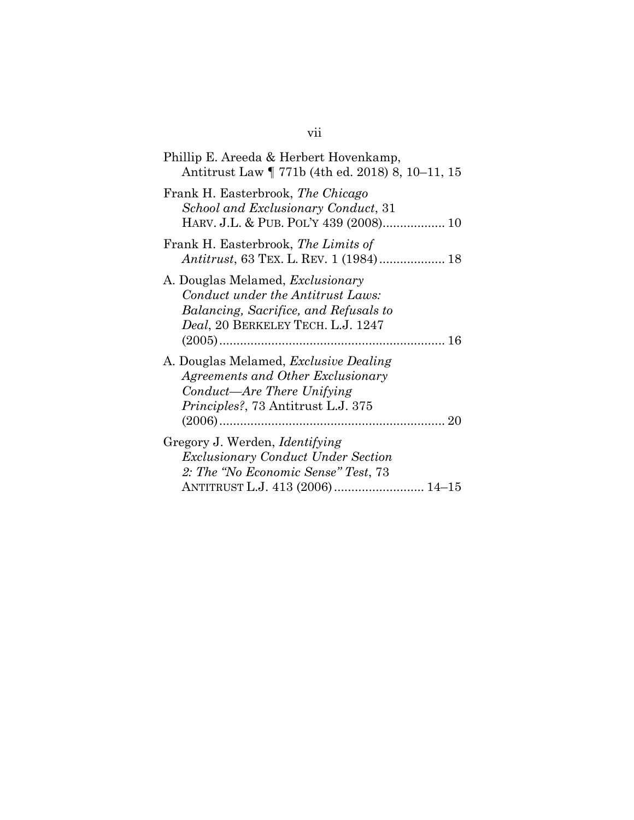| Phillip E. Areeda & Herbert Hovenkamp,<br>Antitrust Law   771b (4th ed. 2018) 8, 10–11, 15                                                                         |
|--------------------------------------------------------------------------------------------------------------------------------------------------------------------|
| Frank H. Easterbrook, The Chicago<br>School and Exclusionary Conduct, 31<br>HARV. J.L. & PUB. POL'Y 439 (2008) 10                                                  |
| Frank H. Easterbrook, The Limits of<br>Antitrust, 63 TEX. L. REV. 1 (1984) 18                                                                                      |
| A. Douglas Melamed, <i>Exclusionary</i><br>Conduct under the Antitrust Laws:<br>Balancing, Sacrifice, and Refusals to<br><i>Deal</i> , 20 BERKELEY TECH. L.J. 1247 |
| A. Douglas Melamed, <i>Exclusive Dealing</i><br>Agreements and Other Exclusionary<br>Conduct—Are There Unifying<br><i>Principles?</i> , 73 Antitrust L.J. 375      |
| Gregory J. Werden, <i>Identifying</i><br><b>Exclusionary Conduct Under Section</b><br>2: The "No Economic Sense" Test, 73<br>ANTITRUST L.J. 413 (2006) 14–15       |

# vii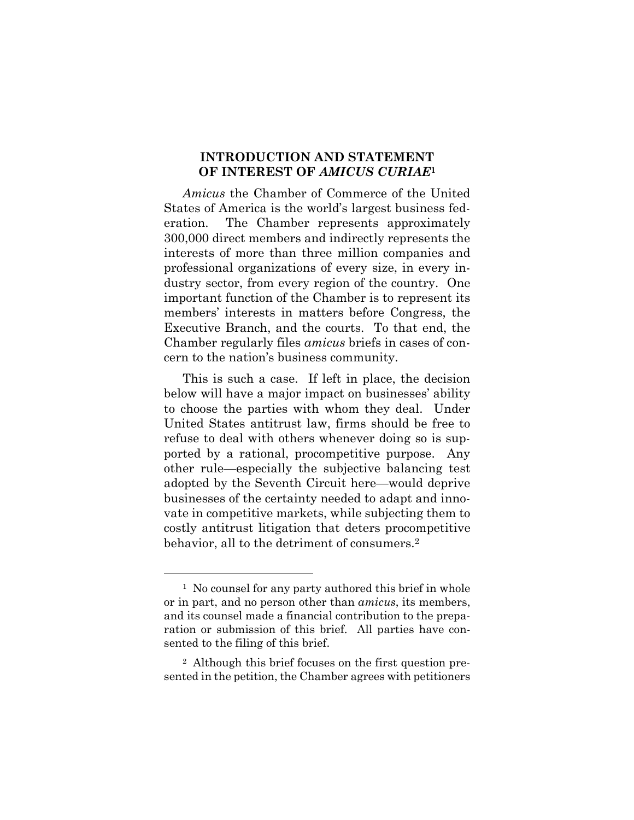### <span id="page-8-0"></span>**INTRODUCTION AND STATEMENT OF INTEREST OF** *AMICUS CURIAE***<sup>1</sup>**

*Amicus* the Chamber of Commerce of the United States of America is the world's largest business federation. The Chamber represents approximately 300,000 direct members and indirectly represents the interests of more than three million companies and professional organizations of every size, in every industry sector, from every region of the country. One important function of the Chamber is to represent its members' interests in matters before Congress, the Executive Branch, and the courts. To that end, the Chamber regularly files *amicus* briefs in cases of concern to the nation's business community.

This is such a case. If left in place, the decision below will have a major impact on businesses' ability to choose the parties with whom they deal. Under United States antitrust law, firms should be free to refuse to deal with others whenever doing so is supported by a rational, procompetitive purpose. Any other rule—especially the subjective balancing test adopted by the Seventh Circuit here—would deprive businesses of the certainty needed to adapt and innovate in competitive markets, while subjecting them to costly antitrust litigation that deters procompetitive behavior, all to the detriment of consumers.<sup>2</sup>

<sup>&</sup>lt;sup>1</sup> No counsel for any party authored this brief in whole or in part, and no person other than *amicus*, its members, and its counsel made a financial contribution to the preparation or submission of this brief. All parties have consented to the filing of this brief.

<sup>2</sup> Although this brief focuses on the first question presented in the petition, the Chamber agrees with petitioners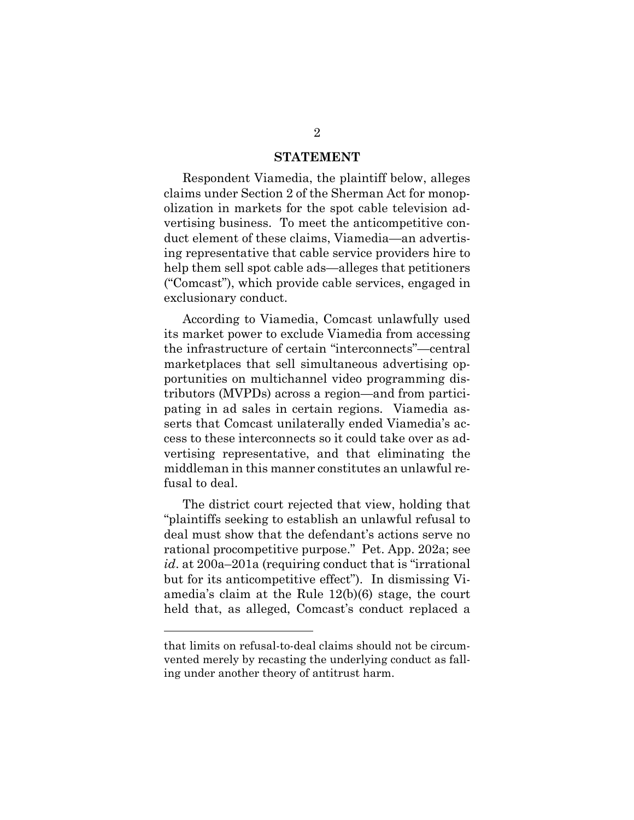#### **STATEMENT**

<span id="page-9-0"></span>Respondent Viamedia, the plaintiff below, alleges claims under Section 2 of the Sherman Act for monopolization in markets for the spot cable television advertising business. To meet the anticompetitive conduct element of these claims, Viamedia—an advertising representative that cable service providers hire to help them sell spot cable ads—alleges that petitioners ("Comcast"), which provide cable services, engaged in exclusionary conduct.

According to Viamedia, Comcast unlawfully used its market power to exclude Viamedia from accessing the infrastructure of certain "interconnects"—central marketplaces that sell simultaneous advertising opportunities on multichannel video programming distributors (MVPDs) across a region—and from participating in ad sales in certain regions. Viamedia asserts that Comcast unilaterally ended Viamedia's access to these interconnects so it could take over as advertising representative, and that eliminating the middleman in this manner constitutes an unlawful refusal to deal.

The district court rejected that view, holding that "plaintiffs seeking to establish an unlawful refusal to deal must show that the defendant's actions serve no rational procompetitive purpose." Pet. App. 202a; see *id*. at 200a–201a (requiring conduct that is "irrational but for its anticompetitive effect"). In dismissing Viamedia's claim at the Rule 12(b)(6) stage, the court held that, as alleged, Comcast's conduct replaced a

<span id="page-9-1"></span>l

that limits on refusal-to-deal claims should not be circumvented merely by recasting the underlying conduct as falling under another theory of antitrust harm.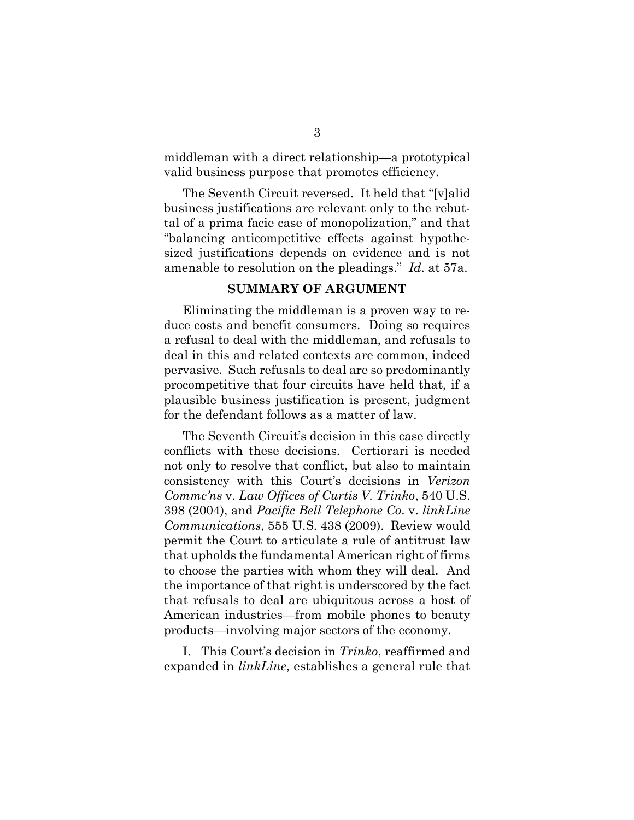middleman with a direct relationship—a prototypical valid business purpose that promotes efficiency.

The Seventh Circuit reversed. It held that "[v]alid business justifications are relevant only to the rebuttal of a prima facie case of monopolization," and that "balancing anticompetitive effects against hypothesized justifications depends on evidence and is not amenable to resolution on the pleadings." *Id*. at 57a.

#### **SUMMARY OF ARGUMENT**

<span id="page-10-0"></span>Eliminating the middleman is a proven way to reduce costs and benefit consumers. Doing so requires a refusal to deal with the middleman, and refusals to deal in this and related contexts are common, indeed pervasive. Such refusals to deal are so predominantly procompetitive that four circuits have held that, if a plausible business justification is present, judgment for the defendant follows as a matter of law.

<span id="page-10-2"></span><span id="page-10-1"></span>The Seventh Circuit's decision in this case directly conflicts with these decisions. Certiorari is needed not only to resolve that conflict, but also to maintain consistency with this Court's decisions in *Verizon Commc'ns* v. *Law Offices of Curtis V. Trinko*, 540 U.S. 398 (2004), and *Pacific Bell Telephone Co*. v. *linkLine Communications*, 555 U.S. 438 (2009). Review would permit the Court to articulate a rule of antitrust law that upholds the fundamental American right of firms to choose the parties with whom they will deal. And the importance of that right is underscored by the fact that refusals to deal are ubiquitous across a host of American industries—from mobile phones to beauty products—involving major sectors of the economy.

I. This Court's decision in *Trinko*, reaffirmed and expanded in *linkLine*, establishes a general rule that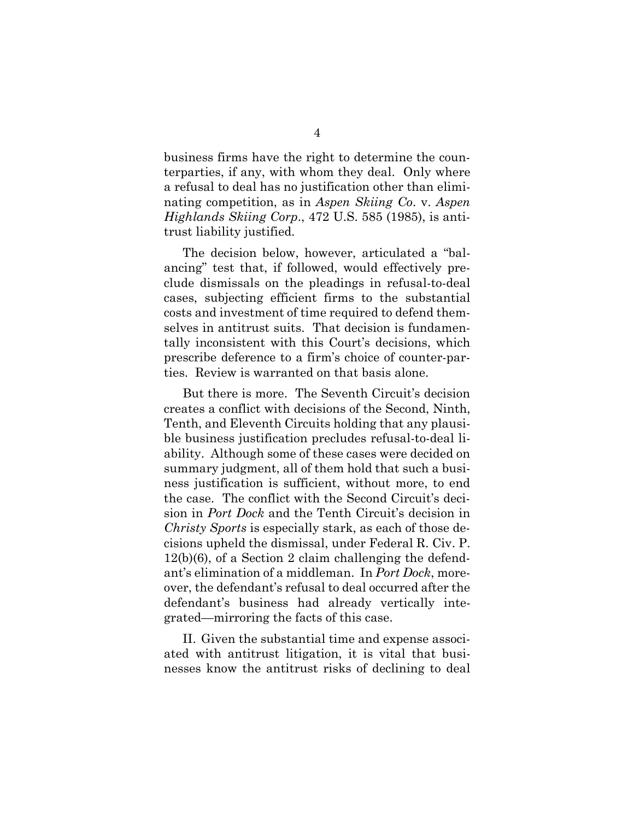<span id="page-11-0"></span>business firms have the right to determine the counterparties, if any, with whom they deal. Only where a refusal to deal has no justification other than eliminating competition, as in *Aspen Skiing Co*. v. *Aspen Highlands Skiing Corp*., 472 U.S. 585 (1985), is antitrust liability justified.

The decision below, however, articulated a "balancing" test that, if followed, would effectively preclude dismissals on the pleadings in refusal-to-deal cases, subjecting efficient firms to the substantial costs and investment of time required to defend themselves in antitrust suits. That decision is fundamentally inconsistent with this Court's decisions, which prescribe deference to a firm's choice of counter-parties. Review is warranted on that basis alone.

<span id="page-11-2"></span>But there is more. The Seventh Circuit's decision creates a conflict with decisions of the Second, Ninth, Tenth, and Eleventh Circuits holding that any plausible business justification precludes refusal-to-deal liability. Although some of these cases were decided on summary judgment, all of them hold that such a business justification is sufficient, without more, to end the case. The conflict with the Second Circuit's decision in *Port Dock* and the Tenth Circuit's decision in *Christy Sports* is especially stark, as each of those decisions upheld the dismissal, under Federal R. Civ. P. 12(b)(6), of a Section 2 claim challenging the defendant's elimination of a middleman. In *Port Dock*, moreover, the defendant's refusal to deal occurred after the defendant's business had already vertically integrated—mirroring the facts of this case.

<span id="page-11-3"></span><span id="page-11-1"></span>II. Given the substantial time and expense associated with antitrust litigation, it is vital that businesses know the antitrust risks of declining to deal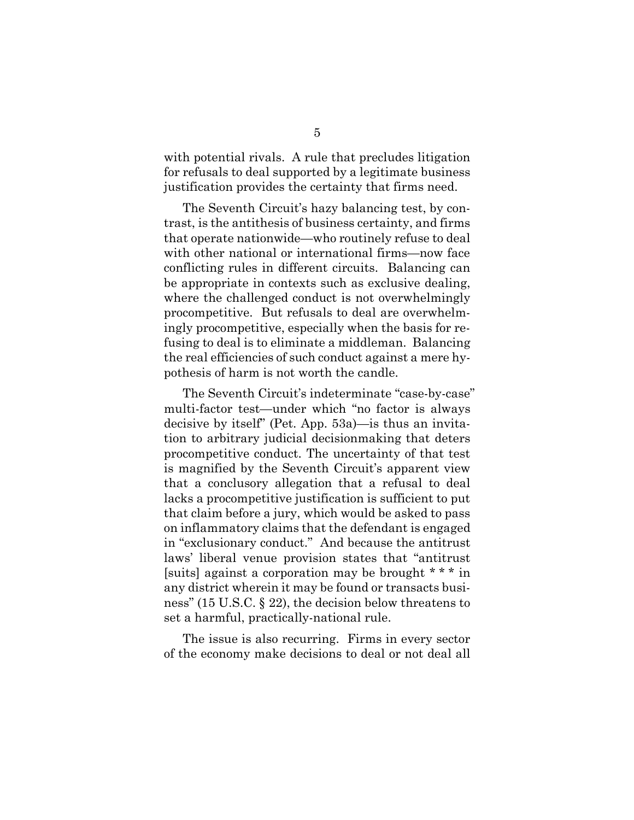with potential rivals. A rule that precludes litigation for refusals to deal supported by a legitimate business justification provides the certainty that firms need.

The Seventh Circuit's hazy balancing test, by contrast, is the antithesis of business certainty, and firms that operate nationwide—who routinely refuse to deal with other national or international firms—now face conflicting rules in different circuits. Balancing can be appropriate in contexts such as exclusive dealing, where the challenged conduct is not overwhelmingly procompetitive. But refusals to deal are overwhelmingly procompetitive, especially when the basis for refusing to deal is to eliminate a middleman. Balancing the real efficiencies of such conduct against a mere hypothesis of harm is not worth the candle.

The Seventh Circuit's indeterminate "case-by-case" multi-factor test—under which "no factor is always decisive by itself" (Pet. App. 53a)—is thus an invitation to arbitrary judicial decisionmaking that deters procompetitive conduct. The uncertainty of that test is magnified by the Seventh Circuit's apparent view that a conclusory allegation that a refusal to deal lacks a procompetitive justification is sufficient to put that claim before a jury, which would be asked to pass on inflammatory claims that the defendant is engaged in "exclusionary conduct." And because the antitrust laws' liberal venue provision states that "antitrust [suits] against a corporation may be brought \* \* \* in any district wherein it may be found or transacts business" (15 U.S.C. § 22), the decision below threatens to set a harmful, practically-national rule.

<span id="page-12-0"></span>The issue is also recurring. Firms in every sector of the economy make decisions to deal or not deal all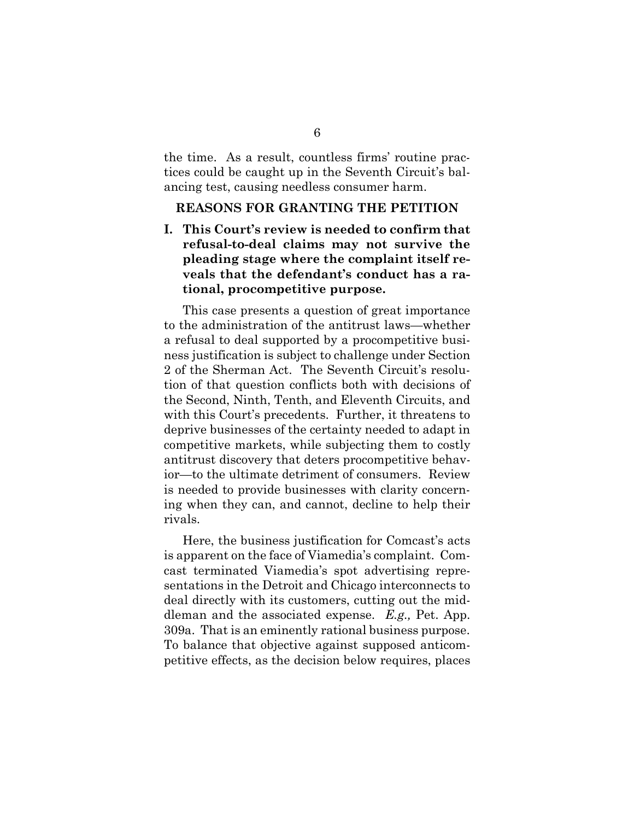the time. As a result, countless firms' routine practices could be caught up in the Seventh Circuit's balancing test, causing needless consumer harm.

### <span id="page-13-0"></span>**REASONS FOR GRANTING THE PETITION**

<span id="page-13-1"></span>**I. This Court's review is needed to confirm that refusal-to-deal claims may not survive the pleading stage where the complaint itself reveals that the defendant's conduct has a rational, procompetitive purpose.** 

This case presents a question of great importance to the administration of the antitrust laws—whether a refusal to deal supported by a procompetitive business justification is subject to challenge under Section 2 of the Sherman Act. The Seventh Circuit's resolution of that question conflicts both with decisions of the Second, Ninth, Tenth, and Eleventh Circuits, and with this Court's precedents. Further, it threatens to deprive businesses of the certainty needed to adapt in competitive markets, while subjecting them to costly antitrust discovery that deters procompetitive behavior—to the ultimate detriment of consumers. Review is needed to provide businesses with clarity concerning when they can, and cannot, decline to help their rivals.

Here, the business justification for Comcast's acts is apparent on the face of Viamedia's complaint. Comcast terminated Viamedia's spot advertising representations in the Detroit and Chicago interconnects to deal directly with its customers, cutting out the middleman and the associated expense. *E.g.,* Pet. App. 309a. That is an eminently rational business purpose. To balance that objective against supposed anticompetitive effects, as the decision below requires, places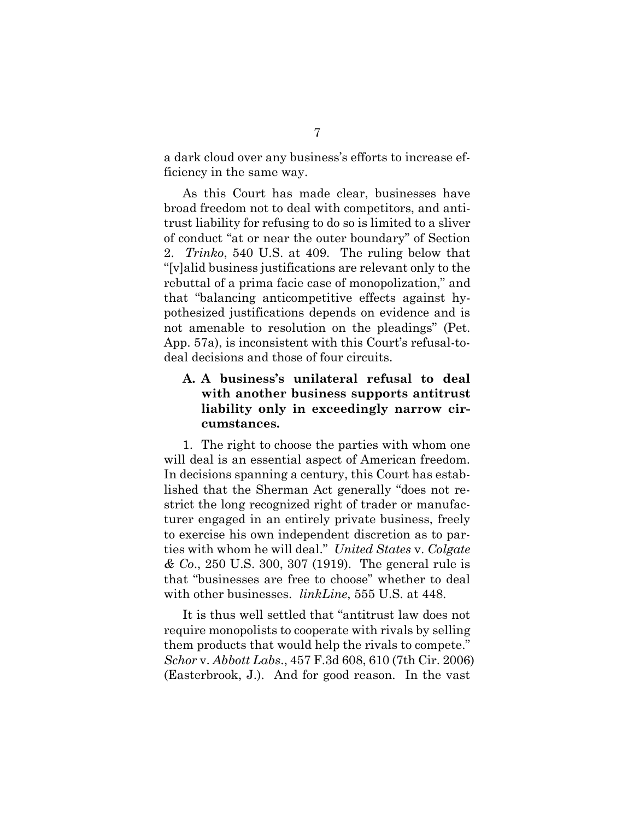a dark cloud over any business's efforts to increase efficiency in the same way.

<span id="page-14-4"></span>As this Court has made clear, businesses have broad freedom not to deal with competitors, and antitrust liability for refusing to do so is limited to a sliver of conduct "at or near the outer boundary" of Section 2. *Trinko*, 540 U.S. at 409. The ruling below that "[v]alid business justifications are relevant only to the rebuttal of a prima facie case of monopolization," and that "balancing anticompetitive effects against hypothesized justifications depends on evidence and is not amenable to resolution on the pleadings" (Pet. App. 57a), is inconsistent with this Court's refusal-todeal decisions and those of four circuits.

## <span id="page-14-0"></span>**A. A business's unilateral refusal to deal with another business supports antitrust liability only in exceedingly narrow circumstances.**

1. The right to choose the parties with whom one will deal is an essential aspect of American freedom. In decisions spanning a century, this Court has established that the Sherman Act generally "does not restrict the long recognized right of trader or manufacturer engaged in an entirely private business, freely to exercise his own independent discretion as to parties with whom he will deal." *United States* v. *Colgate & Co*., 250 U.S. 300, 307 (1919). The general rule is that "businesses are free to choose" whether to deal with other businesses. *linkLine*, 555 U.S. at 448.

<span id="page-14-3"></span><span id="page-14-2"></span><span id="page-14-1"></span>It is thus well settled that "antitrust law does not require monopolists to cooperate with rivals by selling them products that would help the rivals to compete." *Schor* v. *Abbott Labs*., 457 F.3d 608, 610 (7th Cir. 2006) (Easterbrook, J.). And for good reason. In the vast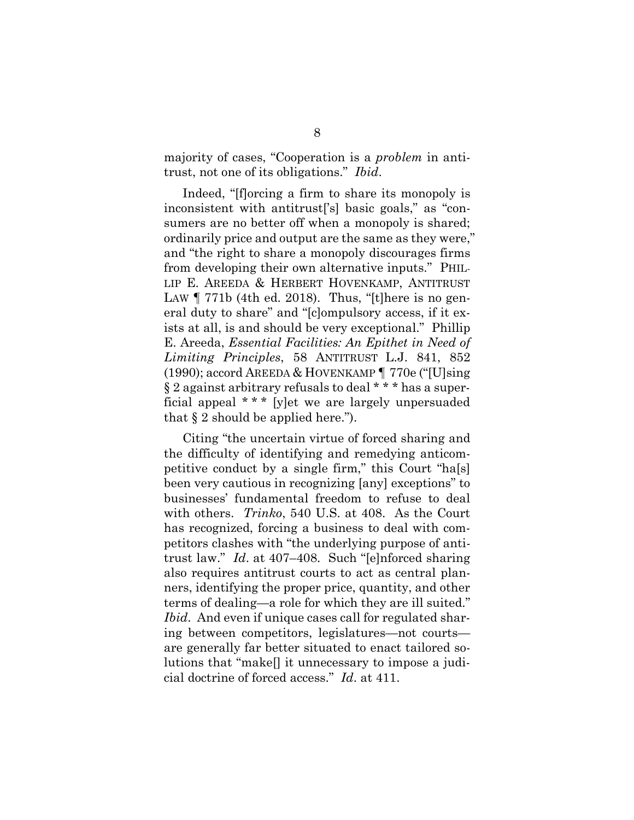majority of cases, "Cooperation is a *problem* in antitrust, not one of its obligations." *Ibid*.

<span id="page-15-1"></span>Indeed, "[f]orcing a firm to share its monopoly is inconsistent with antitrust['s] basic goals," as "consumers are no better off when a monopoly is shared; ordinarily price and output are the same as they were," and "the right to share a monopoly discourages firms from developing their own alternative inputs." PHIL-LIP E. AREEDA & HERBERT HOVENKAMP, ANTITRUST LAW  $\P$  771b (4th ed. 2018). Thus, "[t] here is no general duty to share" and "[c]ompulsory access, if it exists at all, is and should be very exceptional." Phillip E. Areeda, *Essential Facilities: An Epithet in Need of Limiting Principles*, 58 ANTITRUST L.J. 841, 852 (1990); accord AREEDA & HOVENKAMP ¶ 770e ("[U]sing § 2 against arbitrary refusals to deal \* \* \* has a superficial appeal \* \* \* [y]et we are largely unpersuaded that  $\S 2$  should be applied here.").

<span id="page-15-0"></span>Citing "the uncertain virtue of forced sharing and the difficulty of identifying and remedying anticompetitive conduct by a single firm," this Court "ha[s] been very cautious in recognizing [any] exceptions" to businesses' fundamental freedom to refuse to deal with others. *Trinko*, 540 U.S. at 408. As the Court has recognized, forcing a business to deal with competitors clashes with "the underlying purpose of antitrust law." *Id*. at 407–408. Such "[e]nforced sharing also requires antitrust courts to act as central planners, identifying the proper price, quantity, and other terms of dealing—a role for which they are ill suited." *Ibid*. And even if unique cases call for regulated sharing between competitors, legislatures—not courts are generally far better situated to enact tailored solutions that "make[] it unnecessary to impose a judicial doctrine of forced access." *Id*. at 411.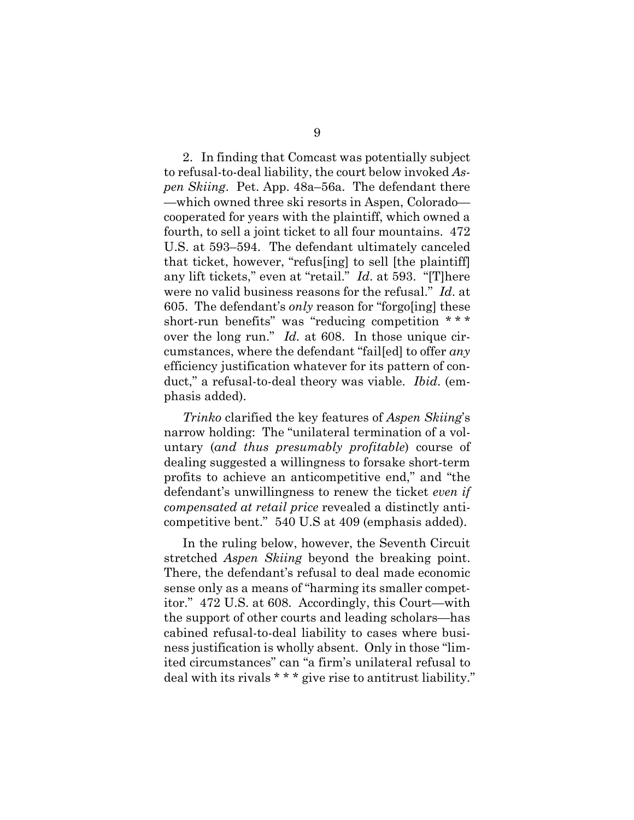<span id="page-16-1"></span><span id="page-16-0"></span>2. In finding that Comcast was potentially subject to refusal-to-deal liability, the court below invoked *Aspen Skiing*. Pet. App. 48a–56a. The defendant there —which owned three ski resorts in Aspen, Colorado cooperated for years with the plaintiff, which owned a fourth, to sell a joint ticket to all four mountains. 472 U.S. at 593–594. The defendant ultimately canceled that ticket, however, "refus[ing] to sell [the plaintiff] any lift tickets," even at "retail." *Id*. at 593. "[T]here were no valid business reasons for the refusal." *Id*. at 605. The defendant's *only* reason for "forgo[ing] these short-run benefits" was "reducing competition \*\*\* over the long run." *Id.* at 608. In those unique circumstances, where the defendant "fail[ed] to offer *any* efficiency justification whatever for its pattern of conduct," a refusal-to-deal theory was viable. *Ibid*. (emphasis added).

*Trinko* clarified the key features of *Aspen Skiing*'s narrow holding: The "unilateral termination of a voluntary (*and thus presumably profitable*) course of dealing suggested a willingness to forsake short-term profits to achieve an anticompetitive end," and "the defendant's unwillingness to renew the ticket *even if compensated at retail price* revealed a distinctly anticompetitive bent." 540 U.S at 409 (emphasis added).

In the ruling below, however, the Seventh Circuit stretched *Aspen Skiing* beyond the breaking point. There, the defendant's refusal to deal made economic sense only as a means of "harming its smaller competitor." 472 U.S. at 608. Accordingly, this Court—with the support of other courts and leading scholars—has cabined refusal-to-deal liability to cases where business justification is wholly absent. Only in those "limited circumstances" can "a firm's unilateral refusal to deal with its rivals \* \* \* give rise to antitrust liability."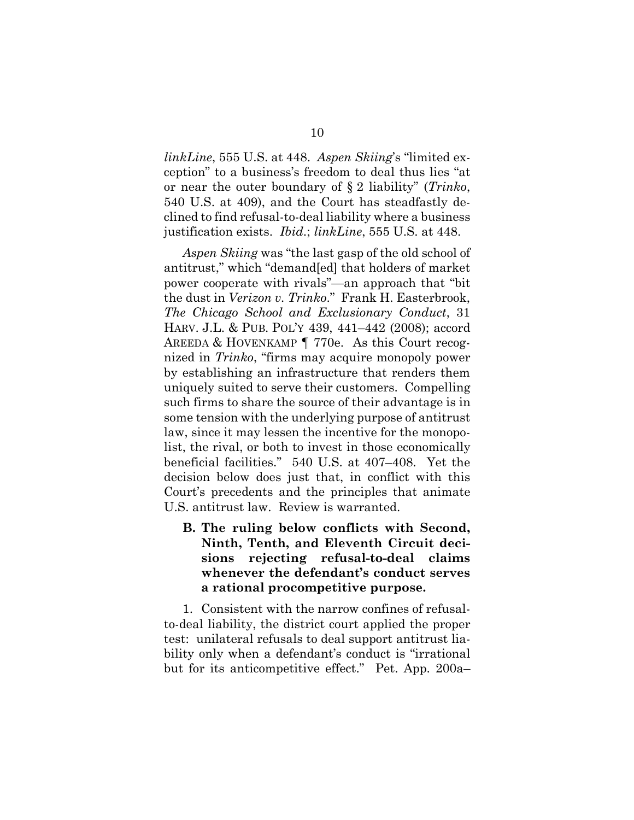*linkLine*, 555 U.S. at 448. *Aspen Skiing*'s "limited exception" to a business's freedom to deal thus lies "at or near the outer boundary of § 2 liability" (*Trinko*, 540 U.S. at 409), and the Court has steadfastly declined to find refusal-to-deal liability where a business justification exists. *Ibid*.; *linkLine*, 555 U.S. at 448.

<span id="page-17-2"></span><span id="page-17-1"></span>*Aspen Skiing* was "the last gasp of the old school of antitrust," which "demand[ed] that holders of market power cooperate with rivals"—an approach that "bit the dust in *Verizon v. Trinko*." Frank H. Easterbrook, *The Chicago School and Exclusionary Conduct*, 31 HARV. J.L. & PUB. POL'Y 439, 441–442 (2008); accord AREEDA & HOVENKAMP ¶ 770e. As this Court recognized in *Trinko*, "firms may acquire monopoly power by establishing an infrastructure that renders them uniquely suited to serve their customers. Compelling such firms to share the source of their advantage is in some tension with the underlying purpose of antitrust law, since it may lessen the incentive for the monopolist, the rival, or both to invest in those economically beneficial facilities." 540 U.S. at 407–408. Yet the decision below does just that, in conflict with this Court's precedents and the principles that animate U.S. antitrust law. Review is warranted.

<span id="page-17-0"></span>**B. The ruling below conflicts with Second, Ninth, Tenth, and Eleventh Circuit decisions rejecting refusal-to-deal claims whenever the defendant's conduct serves a rational procompetitive purpose.** 

1. Consistent with the narrow confines of refusalto-deal liability, the district court applied the proper test: unilateral refusals to deal support antitrust liability only when a defendant's conduct is "irrational but for its anticompetitive effect." Pet. App. 200a–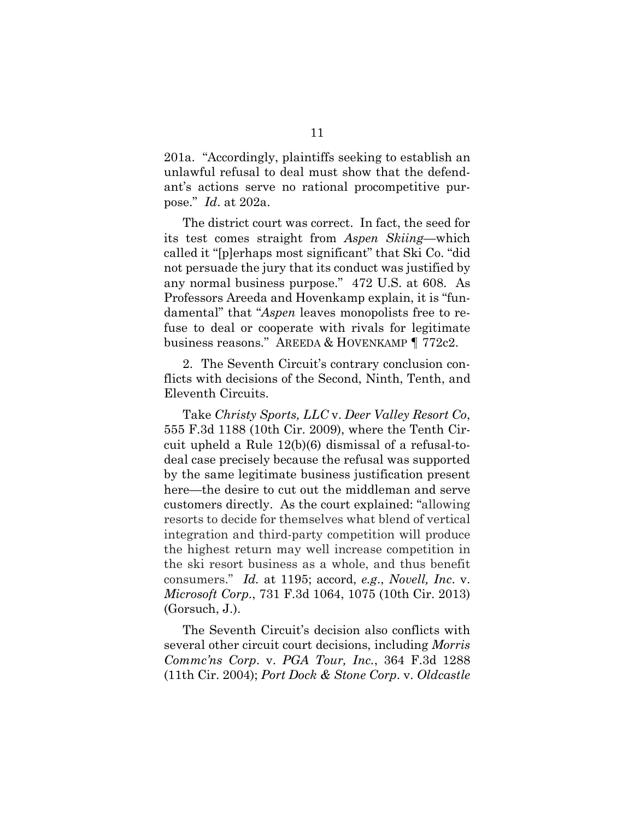201a. "Accordingly, plaintiffs seeking to establish an unlawful refusal to deal must show that the defendant's actions serve no rational procompetitive purpose." *Id*. at 202a.

The district court was correct. In fact, the seed for its test comes straight from *Aspen Skiing*—which called it "[p]erhaps most significant" that Ski Co. "did not persuade the jury that its conduct was justified by any normal business purpose." 472 U.S. at 608. As Professors Areeda and Hovenkamp explain, it is "fundamental" that "*Aspen* leaves monopolists free to refuse to deal or cooperate with rivals for legitimate business reasons." AREEDA & HOVENKAMP ¶ 772c2.

2. The Seventh Circuit's contrary conclusion conflicts with decisions of the Second, Ninth, Tenth, and Eleventh Circuits.

<span id="page-18-4"></span><span id="page-18-0"></span>Take *Christy Sports, LLC* v. *Deer Valley Resort Co*, 555 F.3d 1188 (10th Cir. 2009), where the Tenth Circuit upheld a Rule 12(b)(6) dismissal of a refusal-todeal case precisely because the refusal was supported by the same legitimate business justification present here—the desire to cut out the middleman and serve customers directly. As the court explained: "allowing resorts to decide for themselves what blend of vertical integration and third-party competition will produce the highest return may well increase competition in the ski resort business as a whole, and thus benefit consumers." *Id.* at 1195; accord, *e.g*., *Novell, Inc*. v. *Microsoft Corp*., 731 F.3d 1064, 1075 (10th Cir. 2013) (Gorsuch, J.).

<span id="page-18-3"></span><span id="page-18-2"></span><span id="page-18-1"></span>The Seventh Circuit's decision also conflicts with several other circuit court decisions, including *Morris Commc'ns Corp*. v. *PGA Tour, Inc.*, 364 F.3d 1288 (11th Cir. 2004); *Port Dock & Stone Corp*. v. *Oldcastle*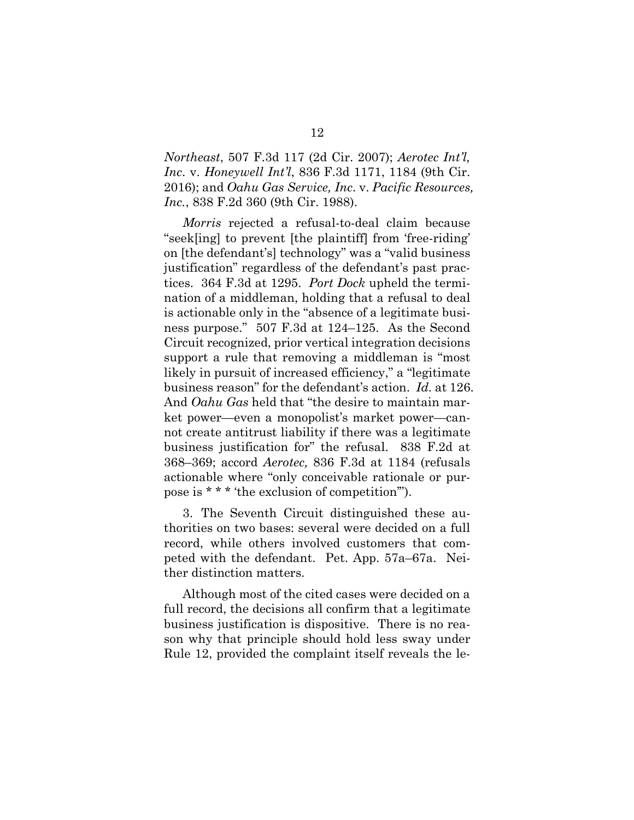<span id="page-19-2"></span><span id="page-19-1"></span><span id="page-19-0"></span>*Northeast*, 507 F.3d 117 (2d Cir. 2007); *Aerotec Int'l, Inc*. v. *Honeywell Int'l*, 836 F.3d 1171, 1184 (9th Cir. 2016); and *Oahu Gas Service, Inc*. v. *Pacific Resources, Inc.*, 838 F.2d 360 (9th Cir. 1988).

*Morris* rejected a refusal-to-deal claim because "seek[ing] to prevent [the plaintiff] from 'free-riding' on [the defendant's] technology" was a "valid business justification" regardless of the defendant's past practices. 364 F.3d at 1295. *Port Dock* upheld the termination of a middleman, holding that a refusal to deal is actionable only in the "absence of a legitimate business purpose." 507 F.3d at 124–125. As the Second Circuit recognized, prior vertical integration decisions support a rule that removing a middleman is "most likely in pursuit of increased efficiency," a "legitimate business reason" for the defendant's action. *Id.* at 126. And *Oahu Gas* held that "the desire to maintain market power—even a monopolist's market power—cannot create antitrust liability if there was a legitimate business justification for" the refusal. 838 F.2d at 368–369; accord *Aerotec,* 836 F.3d at 1184 (refusals actionable where "only conceivable rationale or purpose is \* \* \* 'the exclusion of competition'").

3. The Seventh Circuit distinguished these authorities on two bases: several were decided on a full record, while others involved customers that competed with the defendant. Pet. App. 57a–67a. Neither distinction matters.

<span id="page-19-3"></span>Although most of the cited cases were decided on a full record, the decisions all confirm that a legitimate business justification is dispositive. There is no reason why that principle should hold less sway under Rule 12, provided the complaint itself reveals the le-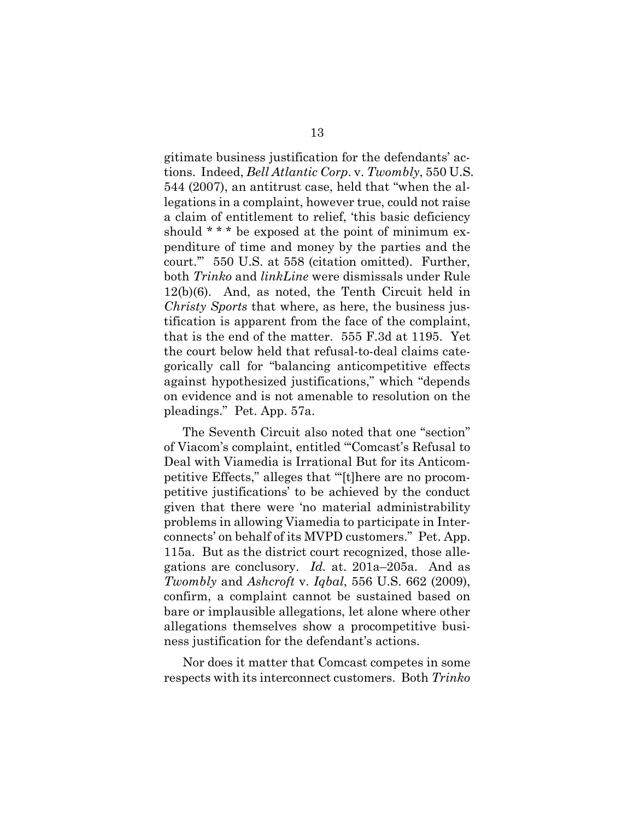<span id="page-20-4"></span><span id="page-20-3"></span><span id="page-20-2"></span>gitimate business justification for the defendants' actions. Indeed, *Bell Atlantic Corp*. v. *Twombly*, 550 U.S. 544 (2007), an antitrust case, held that "when the allegations in a complaint, however true, could not raise a claim of entitlement to relief, 'this basic deficiency should \* \* \* be exposed at the point of minimum expenditure of time and money by the parties and the court.'" 550 U.S. at 558 (citation omitted). Further, both *Trinko* and *linkLine* were dismissals under Rule 12(b)(6). And, as noted, the Tenth Circuit held in *Christy Sports* that where, as here, the business justification is apparent from the face of the complaint, that is the end of the matter. 555 F.3d at 1195. Yet the court below held that refusal-to-deal claims categorically call for "balancing anticompetitive effects against hypothesized justifications," which "depends on evidence and is not amenable to resolution on the pleadings." Pet. App. 57a.

<span id="page-20-1"></span>The Seventh Circuit also noted that one "section" of Viacom's complaint, entitled "'Comcast's Refusal to Deal with Viamedia is Irrational But for its Anticompetitive Effects," alleges that "'[t]here are no procompetitive justifications' to be achieved by the conduct given that there were 'no material administrability problems in allowing Viamedia to participate in Interconnects' on behalf of its MVPD customers." Pet. App. 115a. But as the district court recognized, those allegations are conclusory. *Id.* at. 201a–205a. And as *Twombly* and *Ashcroft* v. *Iqbal*, 556 U.S. 662 (2009), confirm, a complaint cannot be sustained based on bare or implausible allegations, let alone where other allegations themselves show a procompetitive business justification for the defendant's actions.

<span id="page-20-0"></span>Nor does it matter that Comcast competes in some respects with its interconnect customers. Both *Trinko*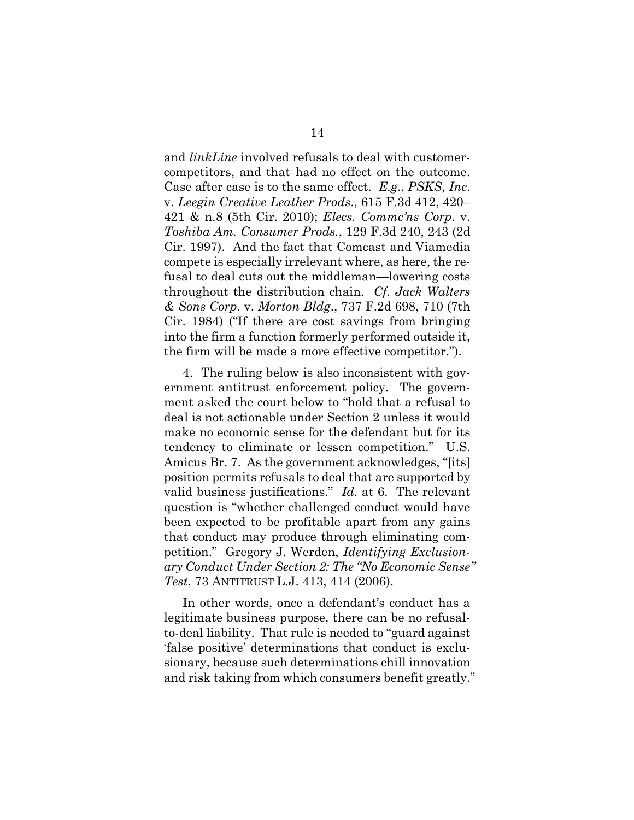<span id="page-21-2"></span><span id="page-21-0"></span>and *linkLine* involved refusals to deal with customercompetitors, and that had no effect on the outcome. Case after case is to the same effect. *E.g*., *PSKS, Inc*. v. *Leegin Creative Leather Prods*., 615 F.3d 412, 420– 421 & n.8 (5th Cir. 2010); *Elecs. Commc'ns Corp*. v. *Toshiba Am. Consumer Prods.*, 129 F.3d 240, 243 (2d Cir. 1997). And the fact that Comcast and Viamedia compete is especially irrelevant where, as here, the refusal to deal cuts out the middleman—lowering costs throughout the distribution chain. *Cf*. *Jack Walters & Sons Corp*. v. *Morton Bldg*., 737 F.2d 698, 710 (7th Cir. 1984) ("If there are cost savings from bringing into the firm a function formerly performed outside it, the firm will be made a more effective competitor.").

<span id="page-21-1"></span>4. The ruling below is also inconsistent with government antitrust enforcement policy. The government asked the court below to "hold that a refusal to deal is not actionable under Section 2 unless it would make no economic sense for the defendant but for its tendency to eliminate or lessen competition." U.S. Amicus Br. 7. As the government acknowledges, "[its] position permits refusals to deal that are supported by valid business justifications." *Id*. at 6. The relevant question is "whether challenged conduct would have been expected to be profitable apart from any gains that conduct may produce through eliminating competition." Gregory J. Werden, *Identifying Exclusionary Conduct Under Section 2: The "No Economic Sense" Test*, 73 ANTITRUST L.J. 413, 414 (2006).

<span id="page-21-3"></span>In other words, once a defendant's conduct has a legitimate business purpose, there can be no refusalto-deal liability. That rule is needed to "guard against 'false positive' determinations that conduct is exclusionary, because such determinations chill innovation and risk taking from which consumers benefit greatly."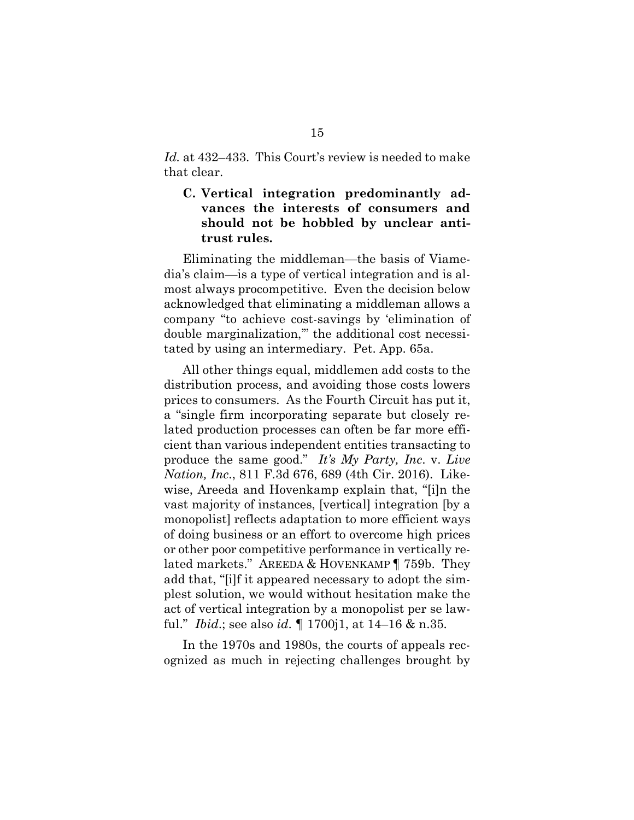<span id="page-22-2"></span>*Id.* at 432–433. This Court's review is needed to make that clear.

### <span id="page-22-0"></span>**C. Vertical integration predominantly advances the interests of consumers and should not be hobbled by unclear antitrust rules.**

Eliminating the middleman—the basis of Viamedia's claim—is a type of vertical integration and is almost always procompetitive. Even the decision below acknowledged that eliminating a middleman allows a company "to achieve cost-savings by 'elimination of double marginalization,'" the additional cost necessitated by using an intermediary. Pet. App. 65a.

<span id="page-22-1"></span>All other things equal, middlemen add costs to the distribution process, and avoiding those costs lowers prices to consumers. As the Fourth Circuit has put it, a "single firm incorporating separate but closely related production processes can often be far more efficient than various independent entities transacting to produce the same good." *It's My Party, Inc*. v. *Live Nation, Inc*., 811 F.3d 676, 689 (4th Cir. 2016). Likewise, Areeda and Hovenkamp explain that, "[i]n the vast majority of instances, [vertical] integration [by a monopolist] reflects adaptation to more efficient ways of doing business or an effort to overcome high prices or other poor competitive performance in vertically related markets." AREEDA & HOVENKAMP ¶ 759b. They add that, "[i]f it appeared necessary to adopt the simplest solution, we would without hesitation make the act of vertical integration by a monopolist per se lawful." *Ibid*.; see also *id*. *¶* 1700j1, at 14–16 & n.35*.*

<span id="page-22-3"></span>In the 1970s and 1980s, the courts of appeals recognized as much in rejecting challenges brought by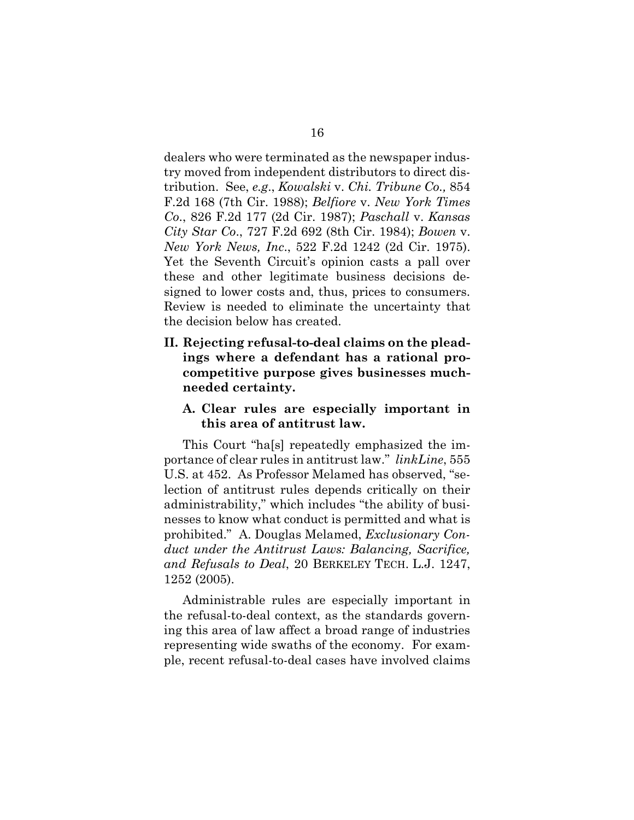<span id="page-23-5"></span><span id="page-23-3"></span><span id="page-23-2"></span>dealers who were terminated as the newspaper industry moved from independent distributors to direct distribution. See, *e.g*., *Kowalski* v. *Chi. Tribune Co.,* 854 F.2d 168 (7th Cir. 1988); *Belfiore* v. *New York Times Co*., 826 F.2d 177 (2d Cir. 1987); *Paschall* v. *Kansas City Star Co*., 727 F.2d 692 (8th Cir. 1984); *Bowen* v. *New York News, Inc*., 522 F.2d 1242 (2d Cir. 1975). Yet the Seventh Circuit's opinion casts a pall over these and other legitimate business decisions designed to lower costs and, thus, prices to consumers. Review is needed to eliminate the uncertainty that the decision below has created.

<span id="page-23-0"></span>**II. Rejecting refusal-to-deal claims on the pleadings where a defendant has a rational procompetitive purpose gives businesses muchneeded certainty.** 

### <span id="page-23-4"></span><span id="page-23-1"></span>**A. Clear rules are especially important in this area of antitrust law.**

This Court "ha[s] repeatedly emphasized the importance of clear rules in antitrust law." *linkLine*, 555 U.S. at 452. As Professor Melamed has observed, "selection of antitrust rules depends critically on their administrability," which includes "the ability of businesses to know what conduct is permitted and what is prohibited." A. Douglas Melamed, *Exclusionary Conduct under the Antitrust Laws: Balancing, Sacrifice, and Refusals to Deal*, 20 BERKELEY TECH. L.J. 1247, 1252 (2005).

<span id="page-23-6"></span>Administrable rules are especially important in the refusal-to-deal context, as the standards governing this area of law affect a broad range of industries representing wide swaths of the economy. For example, recent refusal-to-deal cases have involved claims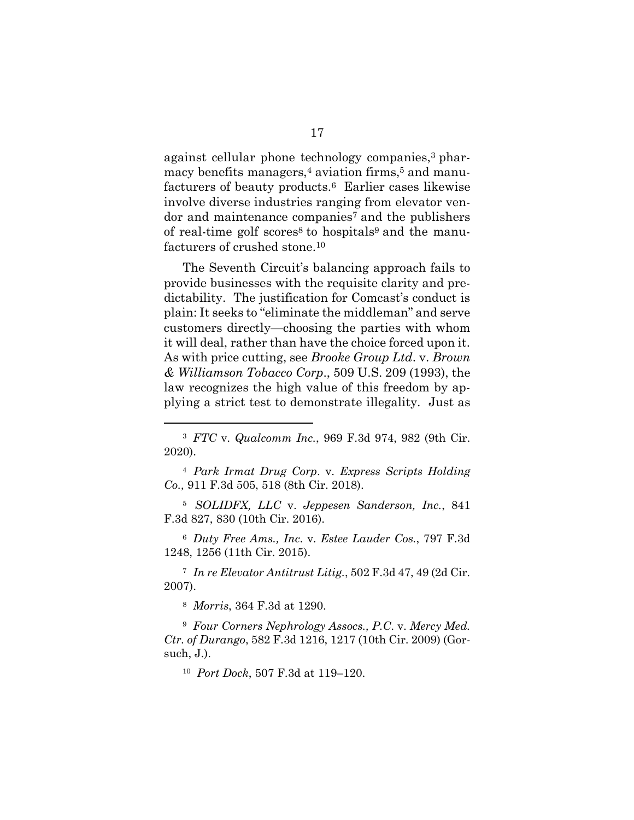<span id="page-24-6"></span>against cellular phone technology companies,<sup>3</sup> pharmacy benefits managers,<sup>4</sup> aviation firms,<sup>5</sup> and manufacturers of beauty products.6 Earlier cases likewise involve diverse industries ranging from elevator vendor and maintenance companies7 and the publishers of real-time golf scores<sup>8</sup> to hospitals<sup>9</sup> and the manufacturers of crushed stone.<sup>10</sup>

The Seventh Circuit's balancing approach fails to provide businesses with the requisite clarity and predictability. The justification for Comcast's conduct is plain: It seeks to "eliminate the middleman" and serve customers directly—choosing the parties with whom it will deal, rather than have the choice forced upon it. As with price cutting, see *Brooke Group Ltd*. v. *Brown & Williamson Tobacco Corp*., 509 U.S. 209 (1993), the law recognizes the high value of this freedom by applying a strict test to demonstrate illegality. Just as

<span id="page-24-9"></span>5 *SOLIDFX, LLC* v. *Jeppesen Sanderson, Inc.*, 841 F.3d 827, 830 (10th Cir. 2016).

<span id="page-24-1"></span>6 *Duty Free Ams., Inc*. v. *Estee Lauder Cos.*, 797 F.3d 1248, 1256 (11th Cir. 2015).

<span id="page-24-2"></span>7 *In re Elevator Antitrust Litig.*, 502 F.3d 47, 49 (2d Cir. 2007).

<span id="page-24-5"></span><span id="page-24-3"></span>8 *Morris*, 364 F.3d at 1290.

<span id="page-24-0"></span>l

9 *Four Corners Nephrology Assocs., P.C*. v. *Mercy Med. Ctr. of Durango*, 582 F.3d 1216, 1217 (10th Cir. 2009) (Gorsuch, J.).

<span id="page-24-8"></span>10 *Port Dock*, 507 F.3d at 119–120.

<span id="page-24-4"></span><sup>3</sup> *FTC* v. *Qualcomm Inc.*, 969 F.3d 974, 982 (9th Cir. 2020).

<span id="page-24-7"></span><sup>4</sup> *Park Irmat Drug Corp*. v. *Express Scripts Holding Co.,* 911 F.3d 505, 518 (8th Cir. 2018).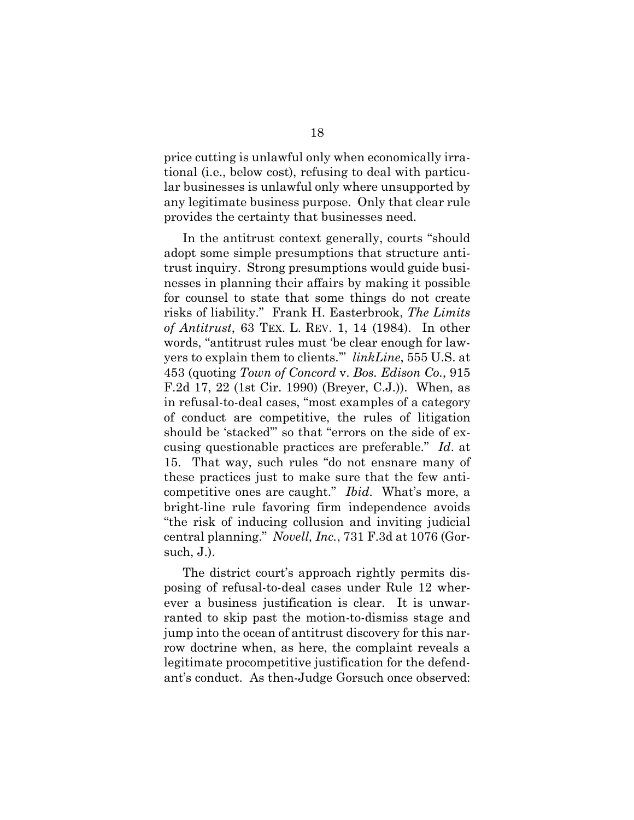price cutting is unlawful only when economically irrational (i.e., below cost), refusing to deal with particular businesses is unlawful only where unsupported by any legitimate business purpose. Only that clear rule provides the certainty that businesses need.

<span id="page-25-2"></span>In the antitrust context generally, courts "should adopt some simple presumptions that structure antitrust inquiry. Strong presumptions would guide businesses in planning their affairs by making it possible for counsel to state that some things do not create risks of liability." Frank H. Easterbrook, *The Limits of Antitrust*, 63 TEX. L. REV. 1, 14 (1984). In other words, "antitrust rules must 'be clear enough for lawyers to explain them to clients.'" *linkLine*, 555 U.S. at 453 (quoting *Town of Concord* v. *Bos. Edison Co.*, 915 F.2d 17, 22 (1st Cir. 1990) (Breyer, C.J.)). When, as in refusal-to-deal cases, "most examples of a category of conduct are competitive, the rules of litigation should be 'stacked'" so that "errors on the side of excusing questionable practices are preferable." *Id*. at 15. That way, such rules "do not ensnare many of these practices just to make sure that the few anticompetitive ones are caught." *Ibid*. What's more, a bright-line rule favoring firm independence avoids "the risk of inducing collusion and inviting judicial central planning." *Novell, Inc.*, 731 F.3d at 1076 (Gorsuch, J.).

<span id="page-25-1"></span><span id="page-25-0"></span>The district court's approach rightly permits disposing of refusal-to-deal cases under Rule 12 wherever a business justification is clear. It is unwarranted to skip past the motion-to-dismiss stage and jump into the ocean of antitrust discovery for this narrow doctrine when, as here, the complaint reveals a legitimate procompetitive justification for the defendant's conduct. As then-Judge Gorsuch once observed: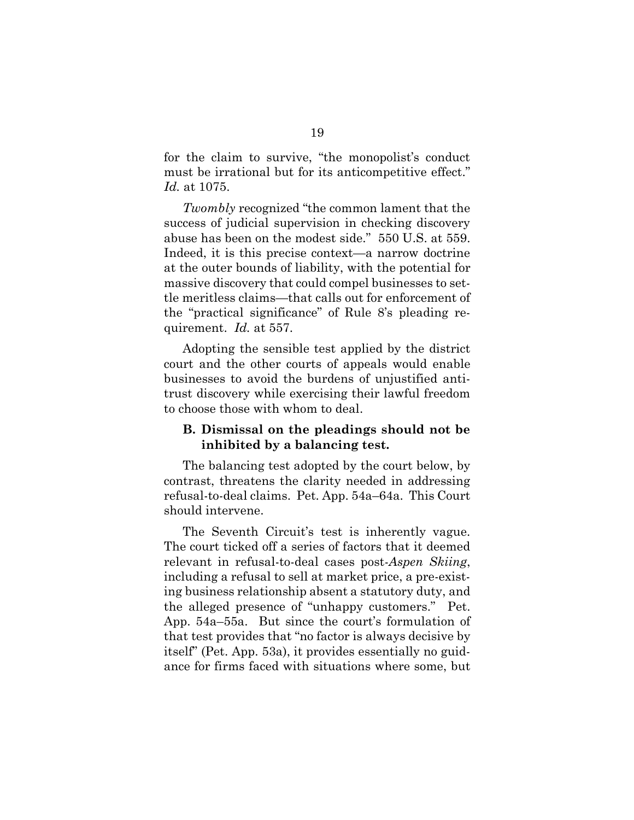for the claim to survive, "the monopolist's conduct must be irrational but for its anticompetitive effect." *Id.* at 1075.

<span id="page-26-1"></span>*Twombly* recognized "the common lament that the success of judicial supervision in checking discovery abuse has been on the modest side." 550 U.S. at 559. Indeed, it is this precise context—a narrow doctrine at the outer bounds of liability, with the potential for massive discovery that could compel businesses to settle meritless claims—that calls out for enforcement of the "practical significance" of Rule 8's pleading requirement. *Id.* at 557.

<span id="page-26-2"></span>Adopting the sensible test applied by the district court and the other courts of appeals would enable businesses to avoid the burdens of unjustified antitrust discovery while exercising their lawful freedom to choose those with whom to deal.

### <span id="page-26-0"></span>**B. Dismissal on the pleadings should not be inhibited by a balancing test.**

The balancing test adopted by the court below, by contrast, threatens the clarity needed in addressing refusal-to-deal claims. Pet. App. 54a–64a. This Court should intervene.

The Seventh Circuit's test is inherently vague. The court ticked off a series of factors that it deemed relevant in refusal-to-deal cases post-*Aspen Skiing*, including a refusal to sell at market price, a pre-existing business relationship absent a statutory duty, and the alleged presence of "unhappy customers." Pet. App. 54a–55a. But since the court's formulation of that test provides that "no factor is always decisive by itself" (Pet. App. 53a), it provides essentially no guidance for firms faced with situations where some, but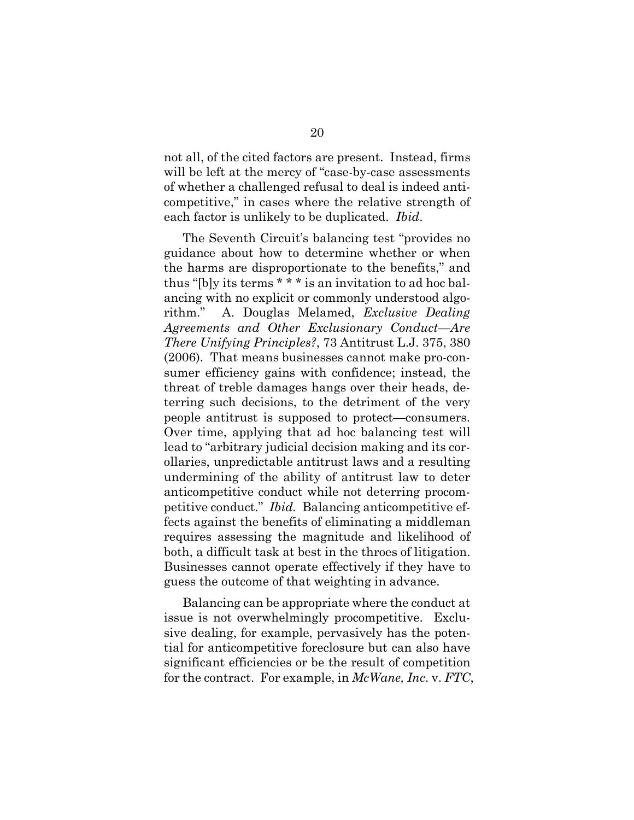not all, of the cited factors are present. Instead, firms will be left at the mercy of "case-by-case assessments of whether a challenged refusal to deal is indeed anticompetitive," in cases where the relative strength of each factor is unlikely to be duplicated. *Ibid*.

<span id="page-27-1"></span>The Seventh Circuit's balancing test "provides no guidance about how to determine whether or when the harms are disproportionate to the benefits," and thus "[b]y its terms \* \* \* is an invitation to ad hoc balancing with no explicit or commonly understood algorithm." A. Douglas Melamed, *Exclusive Dealing Agreements and Other Exclusionary Conduct—Are There Unifying Principles?*, 73 Antitrust L.J. 375, 380 (2006). That means businesses cannot make pro-consumer efficiency gains with confidence; instead, the threat of treble damages hangs over their heads, deterring such decisions, to the detriment of the very people antitrust is supposed to protect—consumers. Over time, applying that ad hoc balancing test will lead to "arbitrary judicial decision making and its corollaries, unpredictable antitrust laws and a resulting undermining of the ability of antitrust law to deter anticompetitive conduct while not deterring procompetitive conduct." *Ibid.* Balancing anticompetitive effects against the benefits of eliminating a middleman requires assessing the magnitude and likelihood of both, a difficult task at best in the throes of litigation. Businesses cannot operate effectively if they have to guess the outcome of that weighting in advance.

<span id="page-27-0"></span>Balancing can be appropriate where the conduct at issue is not overwhelmingly procompetitive. Exclusive dealing, for example, pervasively has the potential for anticompetitive foreclosure but can also have significant efficiencies or be the result of competition for the contract. For example, in *McWane, Inc*. v. *FTC*,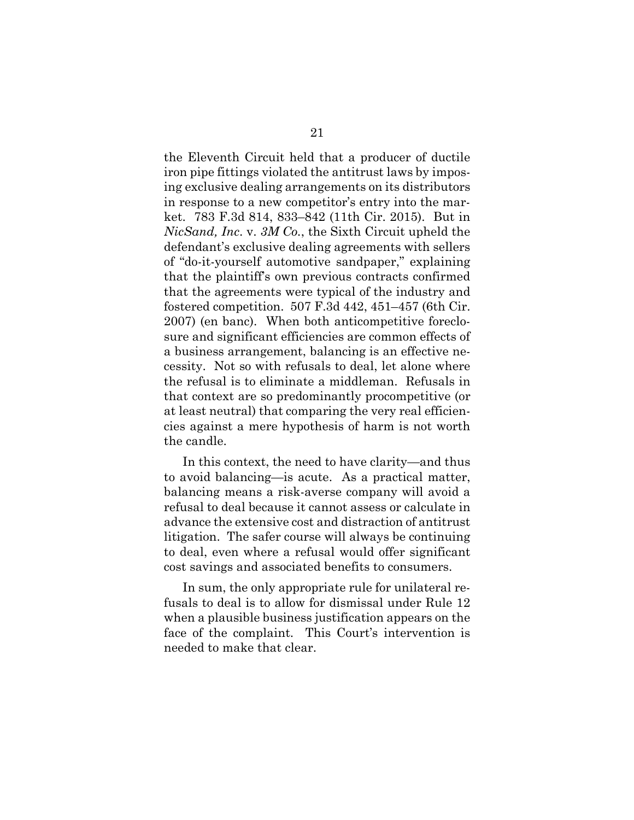<span id="page-28-0"></span>the Eleventh Circuit held that a producer of ductile iron pipe fittings violated the antitrust laws by imposing exclusive dealing arrangements on its distributors in response to a new competitor's entry into the market. 783 F.3d 814, 833–842 (11th Cir. 2015). But in *NicSand, Inc*. v. *3M Co.*, the Sixth Circuit upheld the defendant's exclusive dealing agreements with sellers of "do-it-yourself automotive sandpaper," explaining that the plaintiff's own previous contracts confirmed that the agreements were typical of the industry and fostered competition. 507 F.3d 442, 451–457 (6th Cir. 2007) (en banc). When both anticompetitive foreclosure and significant efficiencies are common effects of a business arrangement, balancing is an effective necessity. Not so with refusals to deal, let alone where the refusal is to eliminate a middleman. Refusals in that context are so predominantly procompetitive (or at least neutral) that comparing the very real efficiencies against a mere hypothesis of harm is not worth the candle.

In this context, the need to have clarity—and thus to avoid balancing—is acute. As a practical matter, balancing means a risk-averse company will avoid a refusal to deal because it cannot assess or calculate in advance the extensive cost and distraction of antitrust litigation. The safer course will always be continuing to deal, even where a refusal would offer significant cost savings and associated benefits to consumers.

<span id="page-28-1"></span>In sum, the only appropriate rule for unilateral refusals to deal is to allow for dismissal under Rule 12 when a plausible business justification appears on the face of the complaint. This Court's intervention is needed to make that clear.